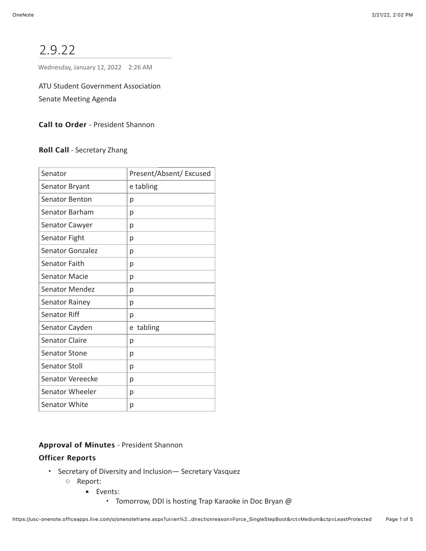# 2.9.22

Wednesday, January 12, 2022 2:26 AM

ATU Student Government Association

Senate Meeting Agenda

Call to Order - President Shannon

Roll Call - Secretary Zhang

| Senator               | Present/Absent/ Excused |
|-----------------------|-------------------------|
| Senator Bryant        | e tabling               |
| Senator Benton        | р                       |
| Senator Barham        | р                       |
| Senator Cawyer        | р                       |
| Senator Fight         | р                       |
| Senator Gonzalez      | р                       |
| Senator Faith         | р                       |
| <b>Senator Macie</b>  | р                       |
| <b>Senator Mendez</b> | р                       |
| Senator Rainey        | р                       |
| <b>Senator Riff</b>   | р                       |
| Senator Cayden        | tabling<br>e            |
| <b>Senator Claire</b> | р                       |
| <b>Senator Stone</b>  | р                       |
| Senator Stoll         | р                       |
| Senator Vereecke      | р                       |
| Senator Wheeler       | р                       |
| Senator White         | р                       |

#### Approval of Minutes - President Shannon

## **Officer Reports**

- Secretary of Diversity and Inclusion— Secretary Vasquez
	- Report:
		- Events:
			- Tomorrow, DDI is hosting Trap Karaoke in Doc Bryan @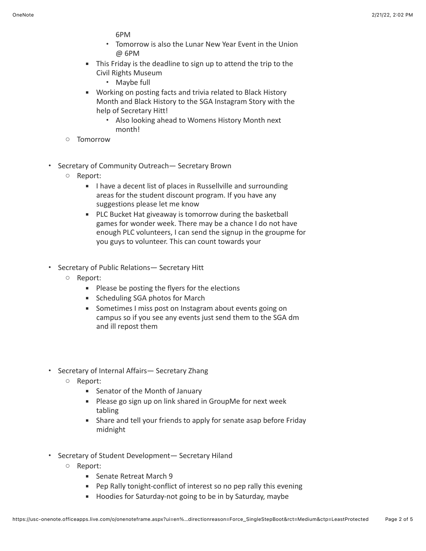6PM

- Tomorrow is also the Lunar New Year Event in the Union @ 6PM
- **EXECT** This Friday is the deadline to sign up to attend the trip to the Civil Rights Museum
	- Maybe full
- Working on posting facts and trivia related to Black History Month and Black History to the SGA Instagram Story with the help of Secretary Hitt!
	- Also looking ahead to Womens History Month next month!
- Tomorrow
- Secretary of Community Outreach— Secretary Brown
	- Report:
		- I have a decent list of places in Russellville and surrounding areas for the student discount program. If you have any suggestions please let me know
		- PLC Bucket Hat giveaway is tomorrow during the basketball games for wonder week. There may be a chance I do not have enough PLC volunteers, I can send the signup in the groupme for you guys to volunteer. This can count towards your
- Secretary of Public Relations— Secretary Hitt
	- Report:
		- Please be posting the flyers for the elections
		- Scheduling SGA photos for March
		- Sometimes I miss post on Instagram about events going on campus so if you see any events just send them to the SGA dm and ill repost them
- Secretary of Internal Affairs— Secretary Zhang
	- Report:
		- Senator of the Month of January
		- Please go sign up on link shared in GroupMe for next week tabling
		- **EXECT:** Share and tell your friends to apply for senate asap before Friday midnight
- Secretary of Student Development— Secretary Hiland
	- Report:
		- Senate Retreat March 9
		- Pep Rally tonight-conflict of interest so no pep rally this evening
		- Hoodies for Saturday-not going to be in by Saturday, maybe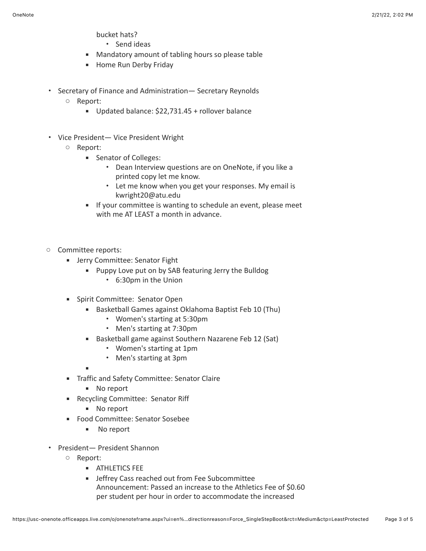bucket hats?

- Send ideas
- Mandatory amount of tabling hours so please table
- **■** Home Run Derby Friday
- Secretary of Finance and Administration— Secretary Reynolds
	- Report:
		- Updated balance: \$22,731.45 + rollover balance
- Vice President— Vice President Wright
	- Report:
		- Senator of Colleges:
			- Dean Interview questions are on OneNote, if you like a printed copy let me know.
			- Let me know when you get your responses. My email is kwright20@atu.edu
		- **■** If your committee is wanting to schedule an event, please meet with me AT LEAST a month in advance.
- Committee reports:
	- **EXECOMMITTEE: Senator Fight** 
		- Puppy Love put on by SAB featuring Jerry the Bulldog
			- 6:30pm in the Union
	- Spirit Committee: Senator Open
		- Basketball Games against Oklahoma Baptist Feb 10 (Thu)
			- Women's starting at 5:30pm
			- Men's starting at 7:30pm
		- Basketball game against Southern Nazarene Feb 12 (Sat)
			- Women's starting at 1pm
			- Men's starting at 3pm

▪

- **■** Traffic and Safety Committee: Senator Claire
	- No report
- Recycling Committee: Senator Riff
	- No report
- Food Committee: Senator Sosebee
	- No report
- President— President Shannon
	- Report:
		- **EXAMPLE ATHLETICS FEE**
		- **■** Jeffrey Cass reached out from Fee Subcommittee
		- Announcement: Passed an increase to the Athletics Fee of \$0.60 per student per hour in order to accommodate the increased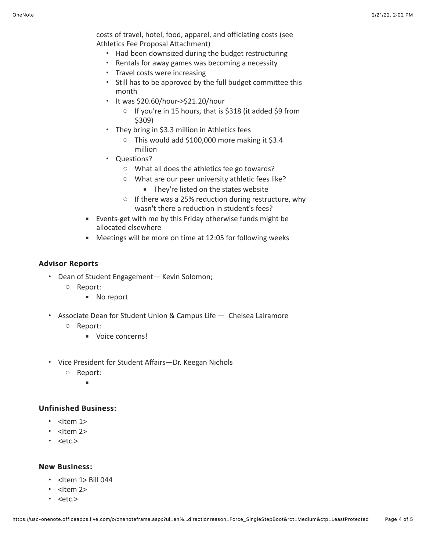costs of travel, hotel, food, apparel, and officiating costs (see Athletics Fee Proposal Attachment)

- Had been downsized during the budget restructuring
- Rentals for away games was becoming a necessity
- Travel costs were increasing
- Still has to be approved by the full budget committee this month
- It was \$20.60/hour->\$21.20/hour
	- If you're in 15 hours, that is \$318 (it added \$9 from \$309)
- They bring in \$3.3 million in Athletics fees
	- This would add \$100,000 more making it \$3.4 million
- Questions?
	- What all does the athletics fee go towards?
	- What are our peer university athletic fees like?
		- They're listed on the states website
	- If there was a 25% reduction during restructure, why wasn't there a reduction in student's fees?
- Events-get with me by this Friday otherwise funds might be allocated elsewhere
- Meetings will be more on time at 12:05 for following weeks

#### **Advisor Reports**

- Dean of Student Engagement— Kevin Solomon;
	- Report:
		- No report
- Associate Dean for Student Union & Campus Life Chelsea Lairamore
	- Report:
		- Voice concerns!
- Vice President for Student Affairs—Dr. Keegan Nichols
	- Report:  $\mathbf{r}$
- Unfinished Business:
	- $\cdot$  <Item 1>
	- $\cdot$  <Item 2>
	- $\cdot$  <etc.>

#### **New Business:**

- $\cdot$  <Item 1> Bill 044
- $\cdot$  <Item 2>
- <etc.>